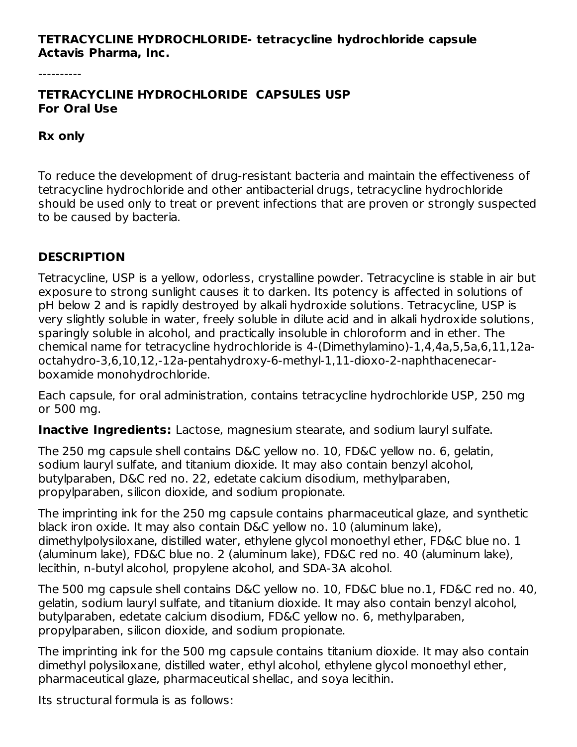#### **TETRACYCLINE HYDROCHLORIDE- tetracycline hydrochloride capsule Actavis Pharma, Inc.**

----------

#### **TETRACYCLINE HYDROCHLORIDE CAPSULES USP For Oral Use**

#### **Rx only**

To reduce the development of drug-resistant bacteria and maintain the effectiveness of tetracycline hydrochloride and other antibacterial drugs, tetracycline hydrochloride should be used only to treat or prevent infections that are proven or strongly suspected to be caused by bacteria.

### **DESCRIPTION**

Tetracycline, USP is a yellow, odorless, crystalline powder. Tetracycline is stable in air but exposure to strong sunlight causes it to darken. Its potency is affected in solutions of pH below 2 and is rapidly destroyed by alkali hydroxide solutions. Tetracycline, USP is very slightly soluble in water, freely soluble in dilute acid and in alkali hydroxide solutions, sparingly soluble in alcohol, and practically insoluble in chloroform and in ether. The chemical name for tetracycline hydrochloride is 4-(Dimethylamino)-1,4,4a,5,5a,6,11,12aoctahydro-3,6,10,12,-12a-pentahydroxy-6-methyl-1,11-dioxo-2-naphthacenecarboxamide monohydrochloride.

Each capsule, for oral administration, contains tetracycline hydrochloride USP, 250 mg or 500 mg.

**Inactive Ingredients:** Lactose, magnesium stearate, and sodium lauryl sulfate.

The 250 mg capsule shell contains D&C yellow no. 10, FD&C yellow no. 6, gelatin, sodium lauryl sulfate, and titanium dioxide. It may also contain benzyl alcohol, butylparaben, D&C red no. 22, edetate calcium disodium, methylparaben, propylparaben, silicon dioxide, and sodium propionate.

The imprinting ink for the 250 mg capsule contains pharmaceutical glaze, and synthetic black iron oxide. It may also contain D&C yellow no. 10 (aluminum lake), dimethylpolysiloxane, distilled water, ethylene glycol monoethyl ether, FD&C blue no. 1 (aluminum lake), FD&C blue no. 2 (aluminum lake), FD&C red no. 40 (aluminum lake), lecithin, n-butyl alcohol, propylene alcohol, and SDA-3A alcohol.

The 500 mg capsule shell contains D&C yellow no. 10, FD&C blue no.1, FD&C red no. 40, gelatin, sodium lauryl sulfate, and titanium dioxide. It may also contain benzyl alcohol, butylparaben, edetate calcium disodium, FD&C yellow no. 6, methylparaben, propylparaben, silicon dioxide, and sodium propionate.

The imprinting ink for the 500 mg capsule contains titanium dioxide. It may also contain dimethyl polysiloxane, distilled water, ethyl alcohol, ethylene glycol monoethyl ether, pharmaceutical glaze, pharmaceutical shellac, and soya lecithin.

Its structural formula is as follows: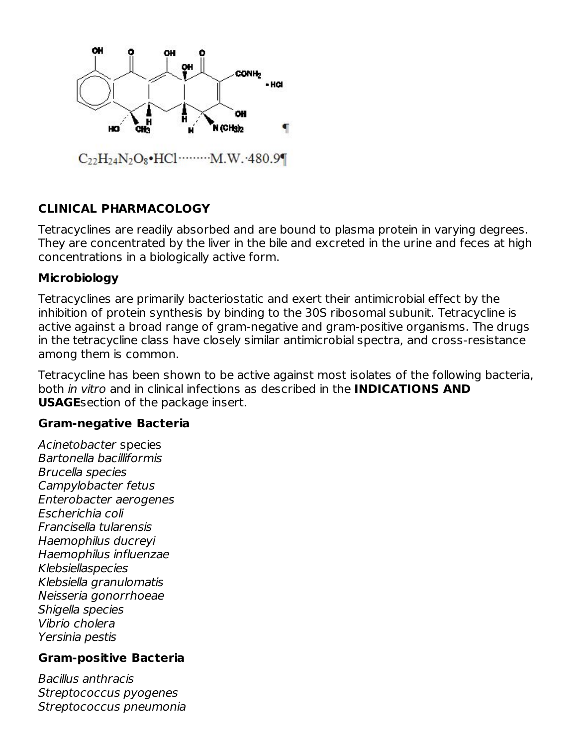

# **CLINICAL PHARMACOLOGY**

Tetracyclines are readily absorbed and are bound to plasma protein in varying degrees. They are concentrated by the liver in the bile and excreted in the urine and feces at high concentrations in a biologically active form.

### **Microbiology**

Tetracyclines are primarily bacteriostatic and exert their antimicrobial effect by the inhibition of protein synthesis by binding to the 30S ribosomal subunit. Tetracycline is active against a broad range of gram-negative and gram-positive organisms. The drugs in the tetracycline class have closely similar antimicrobial spectra, and cross-resistance among them is common.

Tetracycline has been shown to be active against most isolates of the following bacteria, both in vitro and in clinical infections as described in the **INDICATIONS AND USAGE**section of the package insert.

### **Gram-negative Bacteria**

Acinetobacter species Bartonella bacilliformis Brucella species Campylobacter fetus Enterobacter aerogenes Escherichia coli Francisella tularensis Haemophilus ducreyi Haemophilus influenzae Klebsiellaspecies Klebsiella granulomatis Neisseria gonorrhoeae Shigella species Vibrio cholera Yersinia pestis

## **Gram-positive Bacteria**

Bacillus anthracis Streptococcus pyogenes Streptococcus pneumonia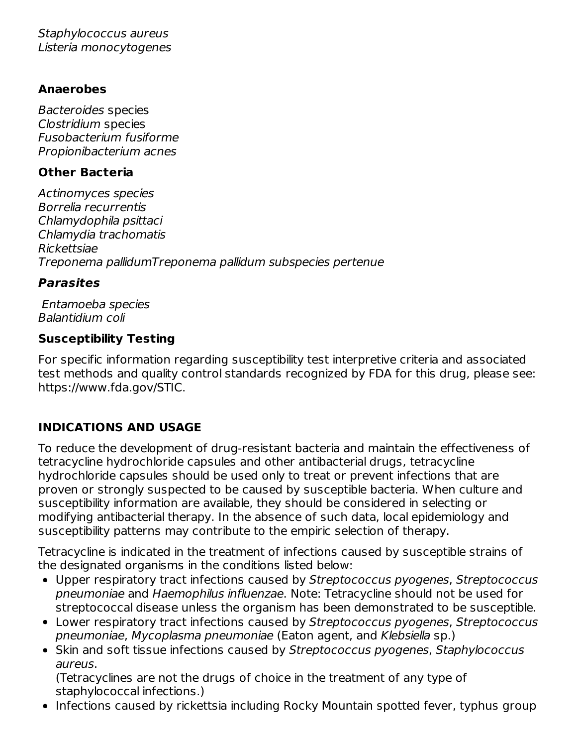Staphylococcus aureus Listeria monocytogenes

### **Anaerobes**

Bacteroides species Clostridium species Fusobacterium fusiforme Propionibacterium acnes

## **Other Bacteria**

Actinomyces species Borrelia recurrentis Chlamydophila psittaci Chlamydia trachomatis Rickettsiae Treponema pallidumTreponema pallidum subspecies pertenue

## **Parasites**

Entamoeba species Balantidium coli

## **Susceptibility Testing**

For specific information regarding susceptibility test interpretive criteria and associated test methods and quality control standards recognized by FDA for this drug, please see: https://www.fda.gov/STIC.

# **INDICATIONS AND USAGE**

To reduce the development of drug-resistant bacteria and maintain the effectiveness of tetracycline hydrochloride capsules and other antibacterial drugs, tetracycline hydrochloride capsules should be used only to treat or prevent infections that are proven or strongly suspected to be caused by susceptible bacteria. When culture and susceptibility information are available, they should be considered in selecting or modifying antibacterial therapy. In the absence of such data, local epidemiology and susceptibility patterns may contribute to the empiric selection of therapy.

Tetracycline is indicated in the treatment of infections caused by susceptible strains of the designated organisms in the conditions listed below:

- Upper respiratory tract infections caused by Streptococcus pyogenes, Streptococcus pneumoniae and Haemophilus influenzae. Note: Tetracycline should not be used for streptococcal disease unless the organism has been demonstrated to be susceptible.
- Lower respiratory tract infections caused by Streptococcus pyogenes, Streptococcus pneumoniae, Mycoplasma pneumoniae (Eaton agent, and Klebsiella sp.)
- Skin and soft tissue infections caused by Streptococcus pyogenes, Staphylococcus aureus.

(Tetracyclines are not the drugs of choice in the treatment of any type of staphylococcal infections.)

• Infections caused by rickettsia including Rocky Mountain spotted fever, typhus group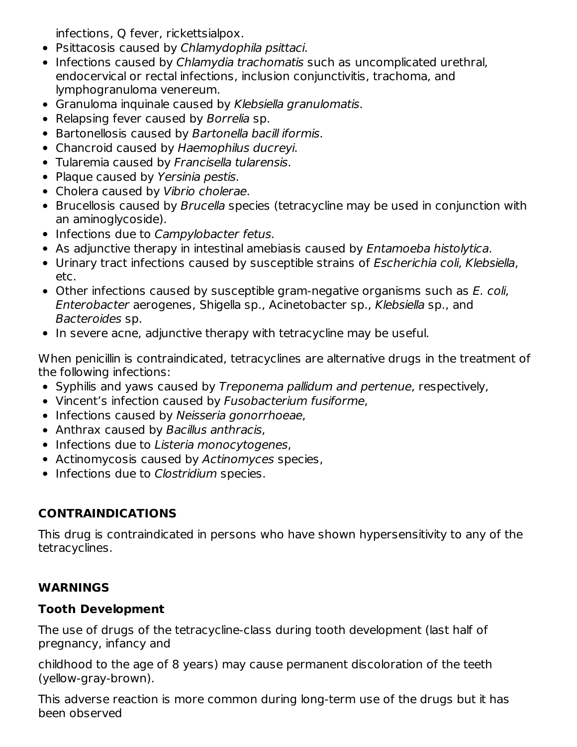infections, Q fever, rickettsialpox.

- Psittacosis caused by Chlamydophila psittaci.
- Infections caused by Chlamydia trachomatis such as uncomplicated urethral, endocervical or rectal infections, inclusion conjunctivitis, trachoma, and lymphogranuloma venereum.
- Granuloma inquinale caused by Klebsiella granulomatis.
- Relapsing fever caused by Borrelia sp.
- Bartonellosis caused by Bartonella bacill iformis.
- Chancroid caused by Haemophilus ducreyi.
- Tularemia caused by Francisella tularensis.
- Plaque caused by Yersinia pestis.
- Cholera caused by Vibrio cholerae.
- Brucellosis caused by Brucella species (tetracycline may be used in conjunction with an aminoglycoside).
- Infections due to Campylobacter fetus.
- As adjunctive therapy in intestinal amebiasis caused by Entamoeba histolytica.
- Urinary tract infections caused by susceptible strains of *Escherichia coli, Klebsiella*, etc.
- Other infections caused by susceptible gram-negative organisms such as E. coli, Enterobacter aerogenes, Shigella sp., Acinetobacter sp., Klebsiella sp., and Bacteroides sp.
- In severe acne, adjunctive therapy with tetracycline may be useful.

When penicillin is contraindicated, tetracyclines are alternative drugs in the treatment of the following infections:

- Syphilis and yaws caused by Treponema pallidum and pertenue, respectively,
- Vincent's infection caused by Fusobacterium fusiforme,
- Infections caused by Neisseria gonorrhoeae,
- Anthrax caused by Bacillus anthracis,
- Infections due to Listeria monocytogenes,
- Actinomycosis caused by Actinomyces species,
- Infections due to Clostridium species.

# **CONTRAINDICATIONS**

This drug is contraindicated in persons who have shown hypersensitivity to any of the tetracyclines.

# **WARNINGS**

## **Tooth Development**

The use of drugs of the tetracycline-class during tooth development (last half of pregnancy, infancy and

childhood to the age of 8 years) may cause permanent discoloration of the teeth (yellow-gray-brown).

This adverse reaction is more common during long-term use of the drugs but it has been observed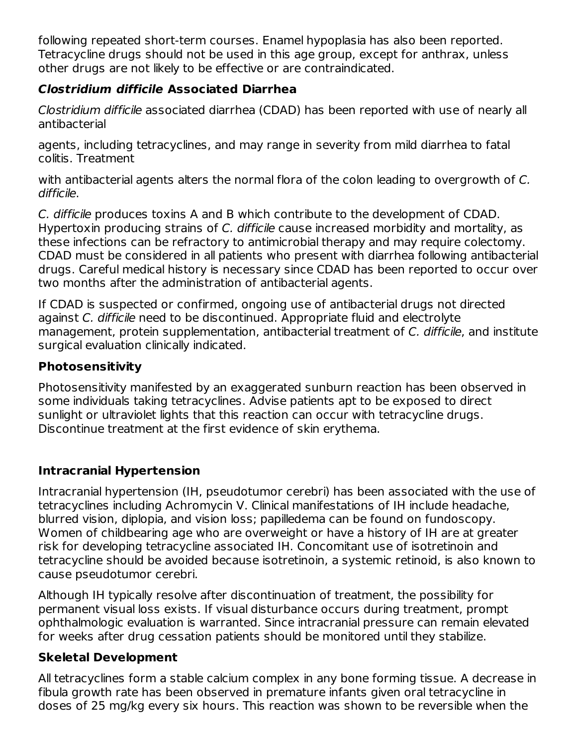following repeated short-term courses. Enamel hypoplasia has also been reported. Tetracycline drugs should not be used in this age group, except for anthrax, unless other drugs are not likely to be effective or are contraindicated.

## **Clostridium difficile Associated Diarrhea**

Clostridium difficile associated diarrhea (CDAD) has been reported with use of nearly all antibacterial

agents, including tetracyclines, and may range in severity from mild diarrhea to fatal colitis. Treatment

with antibacterial agents alters the normal flora of the colon leading to overgrowth of C. difficile.

C. difficile produces toxins A and B which contribute to the development of CDAD. Hypertoxin producing strains of C. difficile cause increased morbidity and mortality, as these infections can be refractory to antimicrobial therapy and may require colectomy. CDAD must be considered in all patients who present with diarrhea following antibacterial drugs. Careful medical history is necessary since CDAD has been reported to occur over two months after the administration of antibacterial agents.

If CDAD is suspected or confirmed, ongoing use of antibacterial drugs not directed against C. difficile need to be discontinued. Appropriate fluid and electrolyte management, protein supplementation, antibacterial treatment of C. difficile, and institute surgical evaluation clinically indicated.

## **Photosensitivity**

Photosensitivity manifested by an exaggerated sunburn reaction has been observed in some individuals taking tetracyclines. Advise patients apt to be exposed to direct sunlight or ultraviolet lights that this reaction can occur with tetracycline drugs. Discontinue treatment at the first evidence of skin erythema.

## **Intracranial Hypertension**

Intracranial hypertension (IH, pseudotumor cerebri) has been associated with the use of tetracyclines including Achromycin V. Clinical manifestations of IH include headache, blurred vision, diplopia, and vision loss; papilledema can be found on fundoscopy. Women of childbearing age who are overweight or have a history of IH are at greater risk for developing tetracycline associated IH. Concomitant use of isotretinoin and tetracycline should be avoided because isotretinoin, a systemic retinoid, is also known to cause pseudotumor cerebri.

Although IH typically resolve after discontinuation of treatment, the possibility for permanent visual loss exists. If visual disturbance occurs during treatment, prompt ophthalmologic evaluation is warranted. Since intracranial pressure can remain elevated for weeks after drug cessation patients should be monitored until they stabilize.

## **Skeletal Development**

All tetracyclines form a stable calcium complex in any bone forming tissue. A decrease in fibula growth rate has been observed in premature infants given oral tetracycline in doses of 25 mg/kg every six hours. This reaction was shown to be reversible when the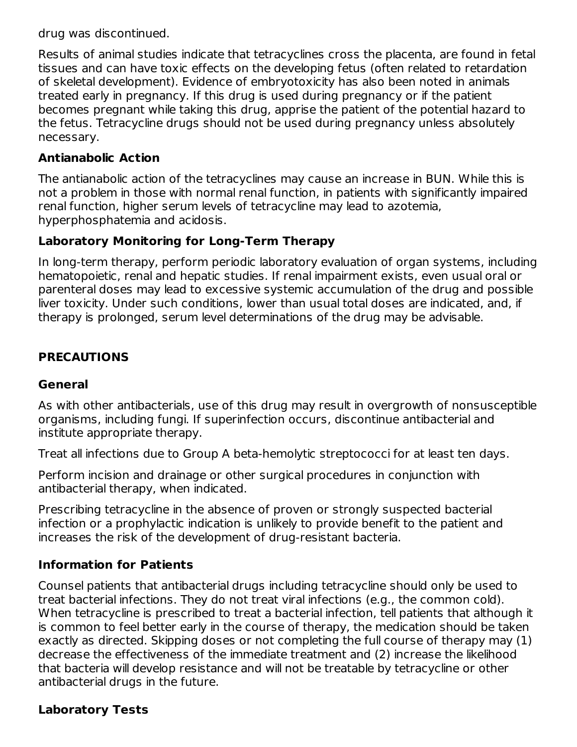drug was discontinued.

Results of animal studies indicate that tetracyclines cross the placenta, are found in fetal tissues and can have toxic effects on the developing fetus (often related to retardation of skeletal development). Evidence of embryotoxicity has also been noted in animals treated early in pregnancy. If this drug is used during pregnancy or if the patient becomes pregnant while taking this drug, apprise the patient of the potential hazard to the fetus. Tetracycline drugs should not be used during pregnancy unless absolutely necessary.

### **Antianabolic Action**

The antianabolic action of the tetracyclines may cause an increase in BUN. While this is not a problem in those with normal renal function, in patients with significantly impaired renal function, higher serum levels of tetracycline may lead to azotemia, hyperphosphatemia and acidosis.

### **Laboratory Monitoring for Long-Term Therapy**

In long-term therapy, perform periodic laboratory evaluation of organ systems, including hematopoietic, renal and hepatic studies. If renal impairment exists, even usual oral or parenteral doses may lead to excessive systemic accumulation of the drug and possible liver toxicity. Under such conditions, lower than usual total doses are indicated, and, if therapy is prolonged, serum level determinations of the drug may be advisable.

### **PRECAUTIONS**

### **General**

As with other antibacterials, use of this drug may result in overgrowth of nonsusceptible organisms, including fungi. If superinfection occurs, discontinue antibacterial and institute appropriate therapy.

Treat all infections due to Group A beta-hemolytic streptococci for at least ten days.

Perform incision and drainage or other surgical procedures in conjunction with antibacterial therapy, when indicated.

Prescribing tetracycline in the absence of proven or strongly suspected bacterial infection or a prophylactic indication is unlikely to provide benefit to the patient and increases the risk of the development of drug-resistant bacteria.

### **Information for Patients**

Counsel patients that antibacterial drugs including tetracycline should only be used to treat bacterial infections. They do not treat viral infections (e.g., the common cold). When tetracycline is prescribed to treat a bacterial infection, tell patients that although it is common to feel better early in the course of therapy, the medication should be taken exactly as directed. Skipping doses or not completing the full course of therapy may (1) decrease the effectiveness of the immediate treatment and (2) increase the likelihood that bacteria will develop resistance and will not be treatable by tetracycline or other antibacterial drugs in the future.

### **Laboratory Tests**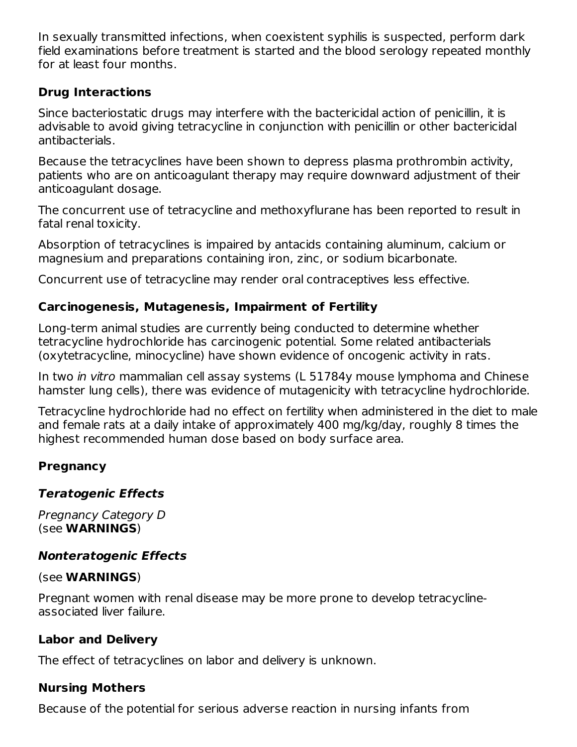In sexually transmitted infections, when coexistent syphilis is suspected, perform dark field examinations before treatment is started and the blood serology repeated monthly for at least four months.

## **Drug Interactions**

Since bacteriostatic drugs may interfere with the bactericidal action of penicillin, it is advisable to avoid giving tetracycline in conjunction with penicillin or other bactericidal antibacterials.

Because the tetracyclines have been shown to depress plasma prothrombin activity, patients who are on anticoagulant therapy may require downward adjustment of their anticoagulant dosage.

The concurrent use of tetracycline and methoxyflurane has been reported to result in fatal renal toxicity.

Absorption of tetracyclines is impaired by antacids containing aluminum, calcium or magnesium and preparations containing iron, zinc, or sodium bicarbonate.

Concurrent use of tetracycline may render oral contraceptives less effective.

### **Carcinogenesis, Mutagenesis, Impairment of Fertility**

Long-term animal studies are currently being conducted to determine whether tetracycline hydrochloride has carcinogenic potential. Some related antibacterials (oxytetracycline, minocycline) have shown evidence of oncogenic activity in rats.

In two in vitro mammalian cell assay systems (L 51784y mouse lymphoma and Chinese hamster lung cells), there was evidence of mutagenicity with tetracycline hydrochloride.

Tetracycline hydrochloride had no effect on fertility when administered in the diet to male and female rats at a daily intake of approximately 400 mg/kg/day, roughly 8 times the highest recommended human dose based on body surface area.

### **Pregnancy**

## **Teratogenic Effects**

Pregnancy Category D (see **WARNINGS**)

## **Nonteratogenic Effects**

### (see **WARNINGS**)

Pregnant women with renal disease may be more prone to develop tetracyclineassociated liver failure.

## **Labor and Delivery**

The effect of tetracyclines on labor and delivery is unknown.

### **Nursing Mothers**

Because of the potential for serious adverse reaction in nursing infants from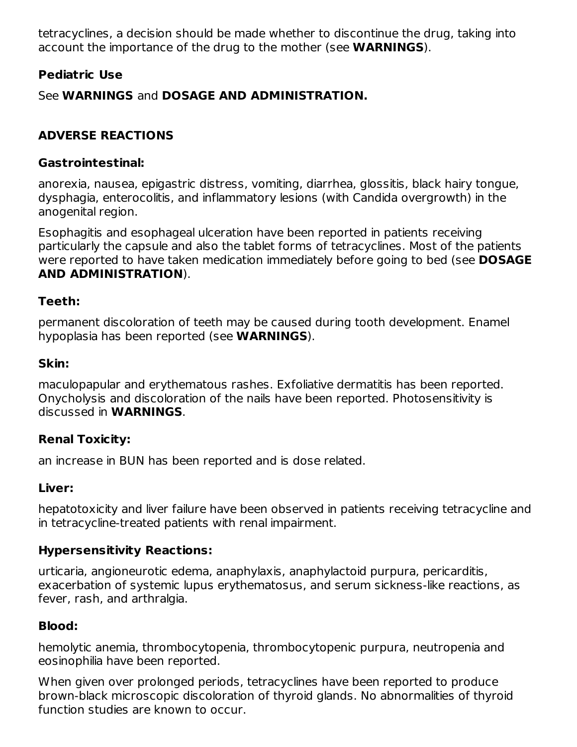tetracyclines, a decision should be made whether to discontinue the drug, taking into account the importance of the drug to the mother (see **WARNINGS**).

### **Pediatric Use**

See **WARNINGS** and **DOSAGE AND ADMINISTRATION.**

## **ADVERSE REACTIONS**

### **Gastrointestinal:**

anorexia, nausea, epigastric distress, vomiting, diarrhea, glossitis, black hairy tongue, dysphagia, enterocolitis, and inflammatory lesions (with Candida overgrowth) in the anogenital region.

Esophagitis and esophageal ulceration have been reported in patients receiving particularly the capsule and also the tablet forms of tetracyclines. Most of the patients were reported to have taken medication immediately before going to bed (see **DOSAGE AND ADMINISTRATION**).

### **Teeth:**

permanent discoloration of teeth may be caused during tooth development. Enamel hypoplasia has been reported (see **WARNINGS**).

### **Skin:**

maculopapular and erythematous rashes. Exfoliative dermatitis has been reported. Onycholysis and discoloration of the nails have been reported. Photosensitivity is discussed in **WARNINGS**.

## **Renal Toxicity:**

an increase in BUN has been reported and is dose related.

## **Liver:**

hepatotoxicity and liver failure have been observed in patients receiving tetracycline and in tetracycline-treated patients with renal impairment.

## **Hypersensitivity Reactions:**

urticaria, angioneurotic edema, anaphylaxis, anaphylactoid purpura, pericarditis, exacerbation of systemic lupus erythematosus, and serum sickness-like reactions, as fever, rash, and arthralgia.

## **Blood:**

hemolytic anemia, thrombocytopenia, thrombocytopenic purpura, neutropenia and eosinophilia have been reported.

When given over prolonged periods, tetracyclines have been reported to produce brown-black microscopic discoloration of thyroid glands. No abnormalities of thyroid function studies are known to occur.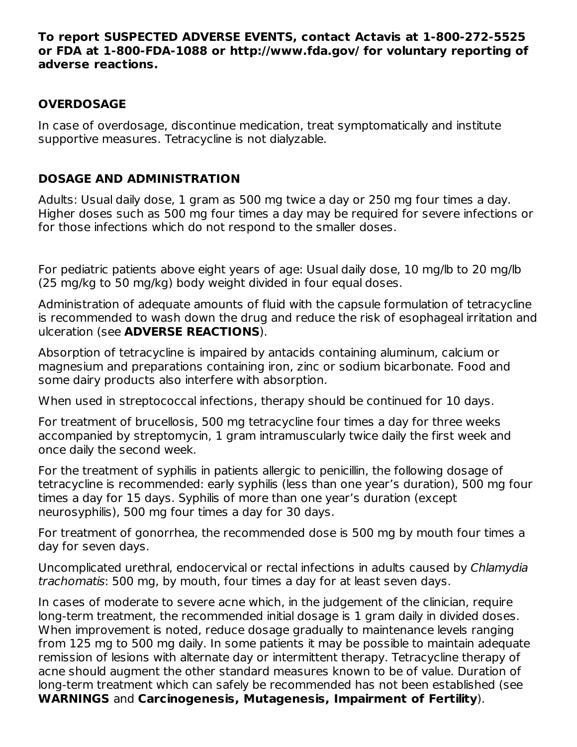#### **To report SUSPECTED ADVERSE EVENTS, contact Actavis at 1-800-272-5525 or FDA at 1-800-FDA-1088 or http://www.fda.gov/ for voluntary reporting of adverse reactions.**

### **OVERDOSAGE**

In case of overdosage, discontinue medication, treat symptomatically and institute supportive measures. Tetracycline is not dialyzable.

### **DOSAGE AND ADMINISTRATION**

Adults: Usual daily dose, 1 gram as 500 mg twice a day or 250 mg four times a day. Higher doses such as 500 mg four times a day may be required for severe infections or for those infections which do not respond to the smaller doses.

For pediatric patients above eight years of age: Usual daily dose, 10 mg/lb to 20 mg/lb (25 mg/kg to 50 mg/kg) body weight divided in four equal doses.

Administration of adequate amounts of fluid with the capsule formulation of tetracycline is recommended to wash down the drug and reduce the risk of esophageal irritation and ulceration (see **ADVERSE REACTIONS**).

Absorption of tetracycline is impaired by antacids containing aluminum, calcium or magnesium and preparations containing iron, zinc or sodium bicarbonate. Food and some dairy products also interfere with absorption.

When used in streptococcal infections, therapy should be continued for 10 days.

For treatment of brucellosis, 500 mg tetracycline four times a day for three weeks accompanied by streptomycin, 1 gram intramuscularly twice daily the first week and once daily the second week.

For the treatment of syphilis in patients allergic to penicillin, the following dosage of tetracycline is recommended: early syphilis (less than one year's duration), 500 mg four times a day for 15 days. Syphilis of more than one year's duration (except neurosyphilis), 500 mg four times a day for 30 days.

For treatment of gonorrhea, the recommended dose is 500 mg by mouth four times a day for seven days.

Uncomplicated urethral, endocervical or rectal infections in adults caused by Chlamydia trachomatis: 500 mg, by mouth, four times a day for at least seven days.

In cases of moderate to severe acne which, in the judgement of the clinician, require long-term treatment, the recommended initial dosage is 1 gram daily in divided doses. When improvement is noted, reduce dosage gradually to maintenance levels ranging from 125 mg to 500 mg daily. In some patients it may be possible to maintain adequate remission of lesions with alternate day or intermittent therapy. Tetracycline therapy of acne should augment the other standard measures known to be of value. Duration of long-term treatment which can safely be recommended has not been established (see **WARNINGS** and **Carcinogenesis, Mutagenesis, Impairment of Fertility**).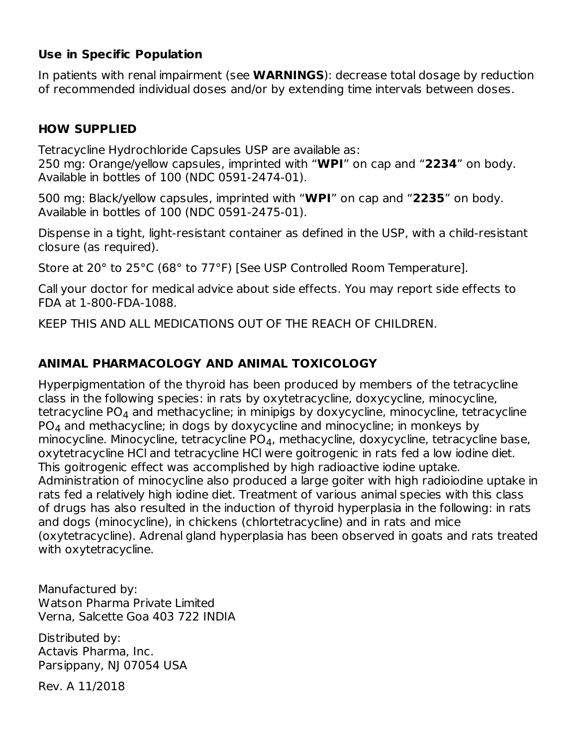### **Use in Specific Population**

In patients with renal impairment (see **WARNINGS**): decrease total dosage by reduction of recommended individual doses and/or by extending time intervals between doses.

# **HOW SUPPLIED**

Tetracycline Hydrochloride Capsules USP are available as: 250 mg: Orange/yellow capsules, imprinted with "**WPI**" on cap and "**2234**" on body. Available in bottles of 100 (NDC 0591-2474-01).

500 mg: Black/yellow capsules, imprinted with "**WPI**" on cap and "**2235**" on body. Available in bottles of 100 (NDC 0591-2475-01).

Dispense in a tight, light-resistant container as defined in the USP, with a child-resistant closure (as required).

Store at 20° to 25°C (68° to 77°F) [See USP Controlled Room Temperature].

Call your doctor for medical advice about side effects. You may report side effects to FDA at 1-800-FDA-1088.

KEEP THIS AND ALL MEDICATIONS OUT OF THE REACH OF CHILDREN.

# **ANIMAL PHARMACOLOGY AND ANIMAL TOXICOLOGY**

Hyperpigmentation of the thyroid has been produced by members of the tetracycline class in the following species: in rats by oxytetracycline, doxycycline, minocycline, tetracycline PO $_4$  and methacycline; in minipigs by doxycycline, minocycline, tetracycline PO $_4$  and methacycline; in dogs by doxycycline and minocycline; in monkeys by minocycline. Minocycline, tetracycline PO $_4$ , methacycline, doxycycline, tetracycline base, oxytetracycline HCl and tetracycline HCl were goitrogenic in rats fed a low iodine diet. This goitrogenic effect was accomplished by high radioactive iodine uptake. Administration of minocycline also produced a large goiter with high radioiodine uptake in rats fed a relatively high iodine diet. Treatment of various animal species with this class of drugs has also resulted in the induction of thyroid hyperplasia in the following: in rats and dogs (minocycline), in chickens (chlortetracycline) and in rats and mice (oxytetracycline). Adrenal gland hyperplasia has been observed in goats and rats treated with oxytetracycline.

Manufactured by: Watson Pharma Private Limited Verna, Salcette Goa 403 722 INDIA

Distributed by: Actavis Pharma, Inc. Parsippany, NJ 07054 USA

Rev. A 11/2018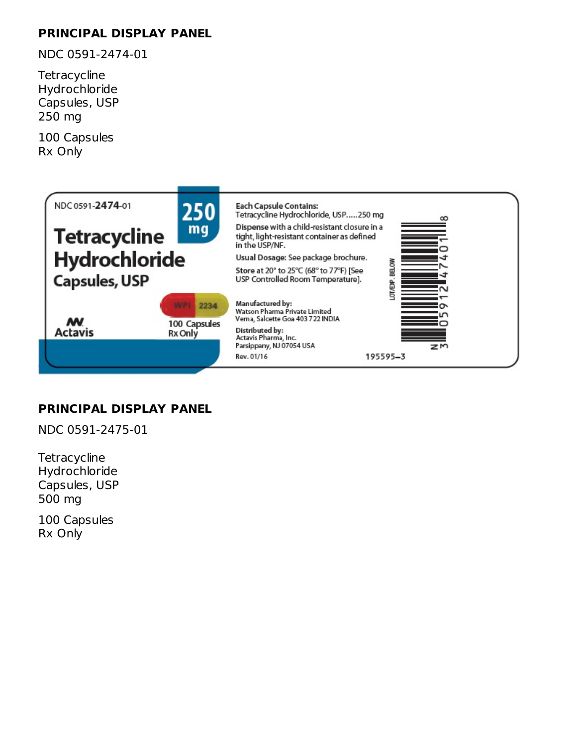# **PRINCIPAL DISPLAY PANEL**

NDC 0591-2474-01

**Tetracycline** Hydrochloride Capsules, USP 250 mg

100 Capsules Rx Only



# **PRINCIPAL DISPLAY PANEL**

NDC 0591-2475-01

**Tetracycline** Hydrochloride Capsules, USP 500 mg

100 Capsules Rx Only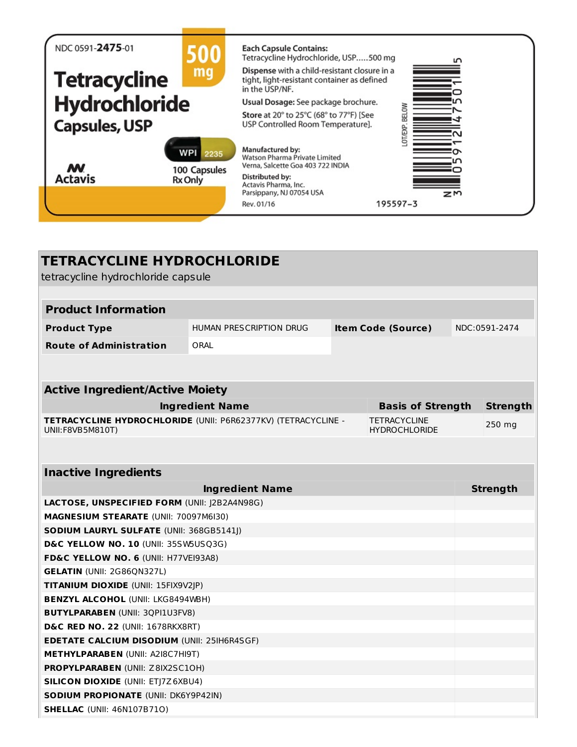| NDC 0591-2475-01     | 500                                | <b>Each Capsule Contains:</b><br>Tetracycline Hydrochloride, USP500 mg                                        | Ľ               |
|----------------------|------------------------------------|---------------------------------------------------------------------------------------------------------------|-----------------|
| <b>Tetracycline</b>  | mq                                 | Dispense with a child-resistant closure in a<br>tight, light-resistant container as defined<br>in the USP/NF. |                 |
| Hydrochloride        |                                    | Usual Dosage: See package brochure.                                                                           |                 |
| <b>Capsules, USP</b> |                                    | Store at 20° to 25°C (68° to 77°F) [See<br>USP Controlled Room Temperature].                                  | BELOW<br>OT/EXF |
| <b>M</b>             | <b>WPI</b><br>2235<br>100 Capsules | Manufactured by:<br>Watson Pharma Private Limited<br>Verna, Salcette Goa 403 722 INDIA                        |                 |
| <b>Actavis</b>       | <b>Rx Only</b>                     | Distributed by:<br>Actavis Pharma, Inc.                                                                       |                 |
|                      |                                    | Parsippany, NJ 07054 USA                                                                                      | zm              |
|                      |                                    | 195597-3<br>Rev. 01/16                                                                                        |                 |

| <b>TETRACYCLINE HYDROCHLORIDE</b>                                                 |                         |  |                                             |  |                 |
|-----------------------------------------------------------------------------------|-------------------------|--|---------------------------------------------|--|-----------------|
| tetracycline hydrochloride capsule                                                |                         |  |                                             |  |                 |
| <b>Product Information</b>                                                        |                         |  |                                             |  |                 |
|                                                                                   |                         |  |                                             |  |                 |
| <b>Product Type</b>                                                               | HUMAN PRESCRIPTION DRUG |  | <b>Item Code (Source)</b>                   |  | NDC:0591-2474   |
| <b>Route of Administration</b>                                                    | ORAL                    |  |                                             |  |                 |
|                                                                                   |                         |  |                                             |  |                 |
|                                                                                   |                         |  |                                             |  |                 |
| <b>Active Ingredient/Active Moiety</b>                                            |                         |  |                                             |  |                 |
|                                                                                   | <b>Ingredient Name</b>  |  | <b>Basis of Strength</b>                    |  | <b>Strength</b> |
| TETRACYCLINE HYDROCHLORIDE (UNII: P6R62377KV) (TETRACYCLINE -<br>UNII:F8VB5M810T) |                         |  | <b>TETRACYCLINE</b><br><b>HYDROCHLORIDE</b> |  | 250 mg          |
|                                                                                   |                         |  |                                             |  |                 |
| <b>Inactive Ingredients</b>                                                       |                         |  |                                             |  |                 |
|                                                                                   | <b>Ingredient Name</b>  |  |                                             |  | <b>Strength</b> |
| LACTOSE, UNSPECIFIED FORM (UNII: J2B2A4N98G)                                      |                         |  |                                             |  |                 |
| MAGNESIUM STEARATE (UNII: 70097M6I30)                                             |                         |  |                                             |  |                 |
| <b>SODIUM LAURYL SULFATE (UNII: 368GB5141J)</b>                                   |                         |  |                                             |  |                 |
| D&C YELLOW NO. 10 (UNII: 35SW5USQ3G)                                              |                         |  |                                             |  |                 |
| FD&C YELLOW NO. 6 (UNII: H77VEI93A8)                                              |                         |  |                                             |  |                 |
| <b>GELATIN (UNII: 2G86QN327L)</b>                                                 |                         |  |                                             |  |                 |
| TITANIUM DIOXIDE (UNII: 15FIX9V2JP)                                               |                         |  |                                             |  |                 |
| <b>BENZYL ALCOHOL (UNII: LKG8494WBH)</b>                                          |                         |  |                                             |  |                 |
|                                                                                   |                         |  |                                             |  |                 |
| <b>BUTYLPARABEN (UNII: 3QPI1U3FV8)</b>                                            |                         |  |                                             |  |                 |
| <b>D&amp;C RED NO. 22 (UNII: 1678RKX8RT)</b>                                      |                         |  |                                             |  |                 |
| <b>EDETATE CALCIUM DISODIUM (UNII: 25IH6R4SGF)</b>                                |                         |  |                                             |  |                 |
| <b>METHYLPARABEN (UNII: A2I8C7HI9T)</b>                                           |                         |  |                                             |  |                 |
| <b>PROPYLPARABEN (UNII: Z8IX2SC10H)</b>                                           |                         |  |                                             |  |                 |
| <b>SILICON DIOXIDE (UNII: ETJ7Z6XBU4)</b>                                         |                         |  |                                             |  |                 |
| <b>SODIUM PROPIONATE (UNII: DK6Y9P42IN)</b>                                       |                         |  |                                             |  |                 |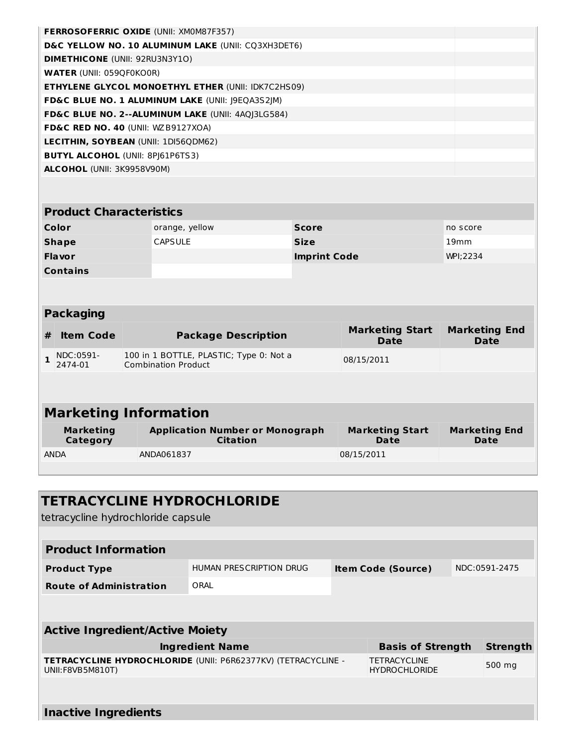|                                                                                           |                                               |  | <b>FERROSOFERRIC OXIDE (UNII: XMOM87F357)</b>                         |                              |                                       |                                     |  |
|-------------------------------------------------------------------------------------------|-----------------------------------------------|--|-----------------------------------------------------------------------|------------------------------|---------------------------------------|-------------------------------------|--|
|                                                                                           |                                               |  | D&C YELLOW NO. 10 ALUMINUM LAKE (UNII: CQ3XH3DET6)                    |                              |                                       |                                     |  |
|                                                                                           | <b>DIMETHICONE (UNII: 92RU3N3Y1O)</b>         |  |                                                                       |                              |                                       |                                     |  |
|                                                                                           | <b>WATER (UNII: 059QF0KO0R)</b>               |  |                                                                       |                              |                                       |                                     |  |
|                                                                                           |                                               |  | <b>ETHYLENE GLYCOL MONOETHYL ETHER (UNII: IDK7C2HS09)</b>             |                              |                                       |                                     |  |
|                                                                                           |                                               |  | FD&C BLUE NO. 1 ALUMINUM LAKE (UNII: J9EQA3S2JM)                      |                              |                                       |                                     |  |
|                                                                                           |                                               |  | FD&C BLUE NO. 2--ALUMINUM LAKE (UNII: 4AQJ3LG584)                     |                              |                                       |                                     |  |
|                                                                                           | FD&C RED NO. 40 (UNII: WZB9127XOA)            |  |                                                                       |                              |                                       |                                     |  |
|                                                                                           |                                               |  | LECITHIN, SOYBEAN (UNII: 1DI56QDM62)                                  |                              |                                       |                                     |  |
|                                                                                           | <b>BUTYL ALCOHOL (UNII: 8PI61P6TS3)</b>       |  |                                                                       |                              |                                       |                                     |  |
|                                                                                           | ALCOHOL (UNII: 3K9958V90M)                    |  |                                                                       |                              |                                       |                                     |  |
|                                                                                           |                                               |  |                                                                       |                              |                                       |                                     |  |
|                                                                                           |                                               |  |                                                                       |                              |                                       |                                     |  |
|                                                                                           | <b>Product Characteristics</b>                |  |                                                                       |                              |                                       |                                     |  |
|                                                                                           | Color                                         |  | orange, yellow                                                        | <b>Score</b>                 |                                       | no score                            |  |
|                                                                                           | <b>CAPSULE</b><br><b>Size</b><br><b>Shape</b> |  |                                                                       | 19mm                         |                                       |                                     |  |
| <b>Flavor</b><br><b>Imprint Code</b>                                                      |                                               |  |                                                                       | WPI;2234                     |                                       |                                     |  |
| <b>Contains</b>                                                                           |                                               |  |                                                                       |                              |                                       |                                     |  |
|                                                                                           |                                               |  |                                                                       |                              |                                       |                                     |  |
|                                                                                           |                                               |  |                                                                       |                              |                                       |                                     |  |
| <b>Packaging</b>                                                                          |                                               |  |                                                                       |                              |                                       |                                     |  |
| #                                                                                         | <b>Item Code</b>                              |  | <b>Package Description</b>                                            |                              | <b>Marketing Start</b><br><b>Date</b> | <b>Marketing End</b><br><b>Date</b> |  |
| $\mathbf{1}$                                                                              | NDC:0591-<br>2474-01                          |  | 100 in 1 BOTTLE, PLASTIC; Type 0: Not a<br><b>Combination Product</b> |                              | 08/15/2011                            |                                     |  |
|                                                                                           |                                               |  |                                                                       |                              |                                       |                                     |  |
|                                                                                           |                                               |  |                                                                       |                              |                                       |                                     |  |
| <b>Marketing Information</b>                                                              |                                               |  |                                                                       |                              |                                       |                                     |  |
| <b>Application Number or Monograph</b><br><b>Marketing</b><br>Citation<br><b>Category</b> |                                               |  | <b>Marketing Start</b><br>Date                                        | <b>Marketing End</b><br>Date |                                       |                                     |  |

| <b>TETRACYCLINE HYDROCHLORIDE</b><br>tetracycline hydrochloride capsule           |                         |                           |                                             |               |                 |  |  |
|-----------------------------------------------------------------------------------|-------------------------|---------------------------|---------------------------------------------|---------------|-----------------|--|--|
|                                                                                   |                         |                           |                                             |               |                 |  |  |
| <b>Product Information</b>                                                        |                         |                           |                                             |               |                 |  |  |
| <b>Product Type</b>                                                               | HUMAN PRESCRIPTION DRUG | <b>Item Code (Source)</b> |                                             | NDC:0591-2475 |                 |  |  |
| <b>Route of Administration</b>                                                    | ORAL                    |                           |                                             |               |                 |  |  |
|                                                                                   |                         |                           |                                             |               |                 |  |  |
| <b>Active Ingredient/Active Moiety</b>                                            |                         |                           |                                             |               |                 |  |  |
| <b>Ingredient Name</b>                                                            |                         |                           | <b>Basis of Strength</b>                    |               | <b>Strength</b> |  |  |
| TETRACYCLINE HYDROCHLORIDE (UNII: P6R62377KV) (TETRACYCLINE -<br>UNII:F8VB5M810T) |                         |                           | <b>TETRACYCLINE</b><br><b>HYDROCHLORIDE</b> |               | 500 mg          |  |  |
|                                                                                   |                         |                           |                                             |               |                 |  |  |
| <b>Inactive Ingredients</b>                                                       |                         |                           |                                             |               |                 |  |  |

ANDA ANDA061837 08/15/2011

**Category**